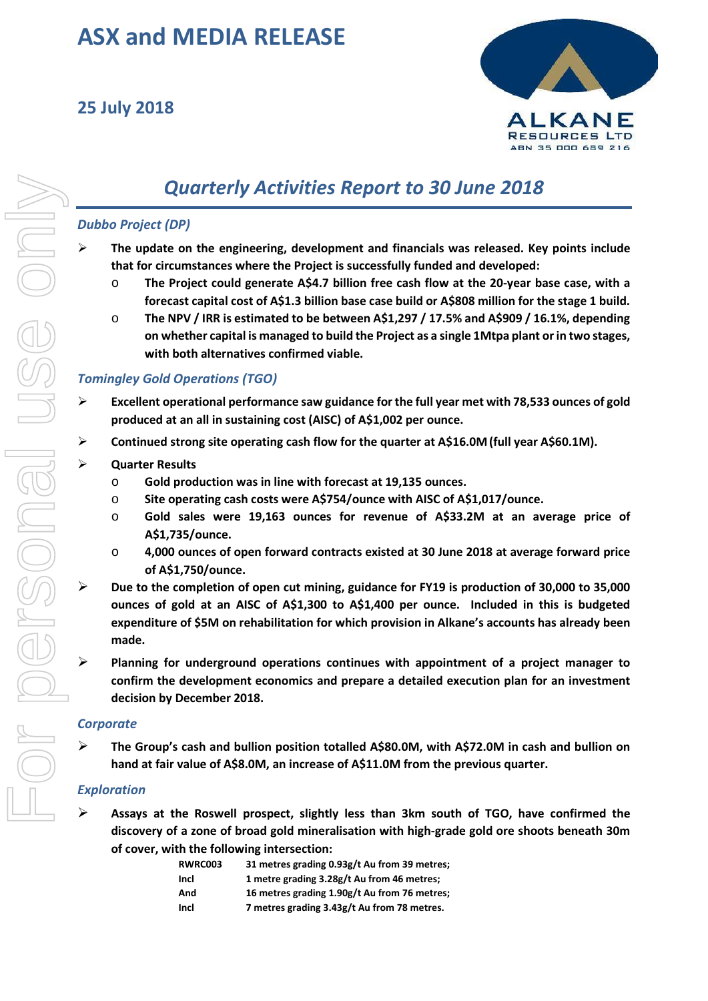# **ASX and MEDIA RELEASE**

## **25 July 2018**



## *Quarterly Activities Report to 30 June 2018*

## *Dubbo Project (DP)*

- **The update on the engineering, development and financials was released. Key points include that for circumstances where the Project is successfully funded and developed:**
	- o **The Project could generate A\$4.7 billion free cash flow at the 20-year base case, with a forecast capital cost of A\$1.3 billion base case build or A\$808 million for the stage 1 build.**
	- o **The NPV / IRR is estimated to be between A\$1,297 / 17.5% and A\$909 / 16.1%, depending on whether capital is managed to build the Project as a single 1Mtpa plant or in two stages, with both alternatives confirmed viable.**

## *Tomingley Gold Operations (TGO)*

- **Excellent operational performance saw guidance for the full year met with 78,533 ounces of gold produced at an all in sustaining cost (AISC) of A\$1,002 per ounce.**
- **Continued strong site operating cash flow for the quarter at A\$16.0M(full year A\$60.1M).**

#### **Quarter Results**

- o **Gold production was in line with forecast at 19,135 ounces.**
- o **Site operating cash costs were A\$754/ounce with AISC of A\$1,017/ounce.**
- o **Gold sales were 19,163 ounces for revenue of A\$33.2M at an average price of A\$1,735/ounce.**
- o **4,000 ounces of open forward contracts existed at 30 June 2018 at average forward price of A\$1,750/ounce.**
- **Due to the completion of open cut mining, guidance for FY19 is production of 30,000 to 35,000 ounces of gold at an AISC of A\$1,300 to A\$1,400 per ounce. Included in this is budgeted expenditure of \$5M on rehabilitation for which provision in Alkane's accounts has already been made.**
- **Planning for underground operations continues with appointment of a project manager to confirm the development economics and prepare a detailed execution plan for an investment decision by December 2018.**

#### *Corporate*

 **The Group's cash and bullion position totalled A\$80.0M, with A\$72.0M in cash and bullion on hand at fair value of A\$8.0M, an increase of A\$11.0M from the previous quarter.**

## *Exploration*

 **Assays at the Roswell prospect, slightly less than 3km south of TGO, have confirmed the discovery of a zone of broad gold mineralisation with high-grade gold ore shoots beneath 30m of cover, with the following intersection:**

| RWRC003 | 31 metres grading 0.93g/t Au from 39 metres; |
|---------|----------------------------------------------|
| Incl    | 1 metre grading 3.28g/t Au from 46 metres;   |
| And     | 16 metres grading 1.90g/t Au from 76 metres; |
| Incl    | 7 metres grading 3.43g/t Au from 78 metres.  |
|         |                                              |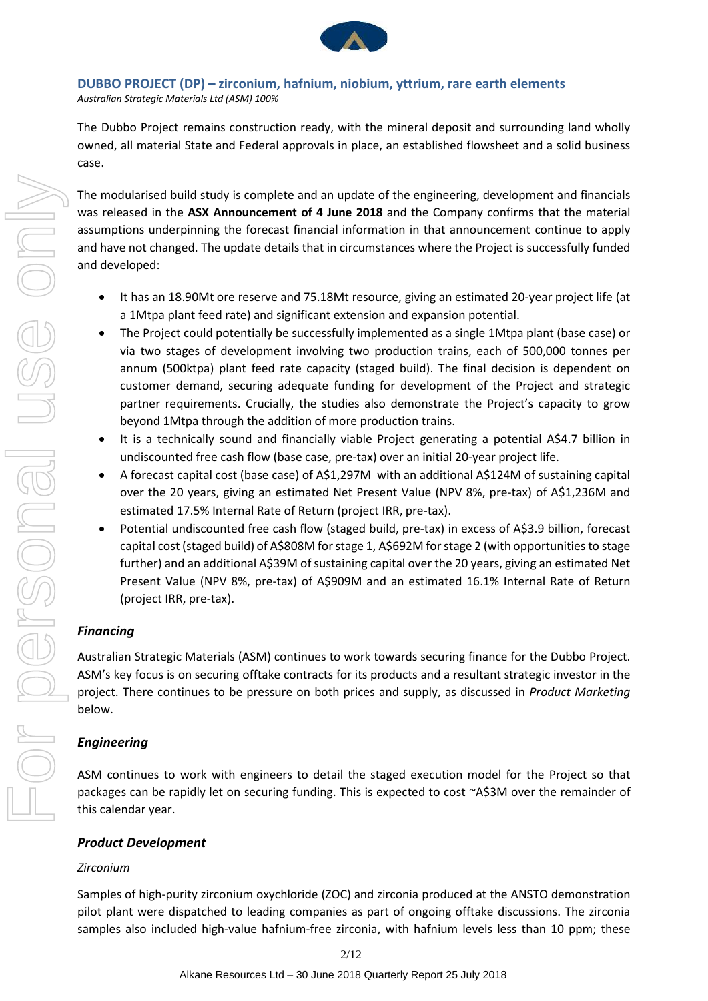

## **DUBBO PROJECT (DP) – zirconium, hafnium, niobium, yttrium, rare earth elements**

*Australian Strategic Materials Ltd (ASM) 100%*

The Dubbo Project remains construction ready, with the mineral deposit and surrounding land wholly owned, all material State and Federal approvals in place, an established flowsheet and a solid business case.

The modularised build study is complete and an update of the engineering, development and financials was released in the **ASX Announcement of 4 June 2018** and the Company confirms that the material assumptions underpinning the forecast financial information in that announcement continue to apply and have not changed. The update details that in circumstances where the Project is successfully funded and developed:

- It has an 18.90Mt ore reserve and 75.18Mt resource, giving an estimated 20-year project life (at a 1Mtpa plant feed rate) and significant extension and expansion potential.
- The Project could potentially be successfully implemented as a single 1Mtpa plant (base case) or via two stages of development involving two production trains, each of 500,000 tonnes per annum (500ktpa) plant feed rate capacity (staged build). The final decision is dependent on customer demand, securing adequate funding for development of the Project and strategic partner requirements. Crucially, the studies also demonstrate the Project's capacity to grow beyond 1Mtpa through the addition of more production trains.
- It is a technically sound and financially viable Project generating a potential A\$4.7 billion in undiscounted free cash flow (base case, pre-tax) over an initial 20-year project life.
- A forecast capital cost (base case) of A\$1,297M with an additional A\$124M of sustaining capital over the 20 years, giving an estimated Net Present Value (NPV 8%, pre-tax) of A\$1,236M and estimated 17.5% Internal Rate of Return (project IRR, pre-tax).
- Potential undiscounted free cash flow (staged build, pre-tax) in excess of A\$3.9 billion, forecast capital cost (staged build) of A\$808M for stage 1, A\$692M for stage 2 (with opportunities to stage further) and an additional A\$39M of sustaining capital over the 20 years, giving an estimated Net Present Value (NPV 8%, pre-tax) of A\$909M and an estimated 16.1% Internal Rate of Return (project IRR, pre-tax).

## *Financing*

Australian Strategic Materials (ASM) continues to work towards securing finance for the Dubbo Project. ASM's key focus is on securing offtake contracts for its products and a resultant strategic investor in the project. There continues to be pressure on both prices and supply, as discussed in *Product Marketing* below.

## *Engineering*

ASM continues to work with engineers to detail the staged execution model for the Project so that packages can be rapidly let on securing funding. This is expected to cost ~A\$3M over the remainder of this calendar year.

## *Product Development*

## *Zirconium*

Samples of high-purity zirconium oxychloride (ZOC) and zirconia produced at the ANSTO demonstration pilot plant were dispatched to leading companies as part of ongoing offtake discussions. The zirconia samples also included high-value hafnium-free zirconia, with hafnium levels less than 10 ppm; these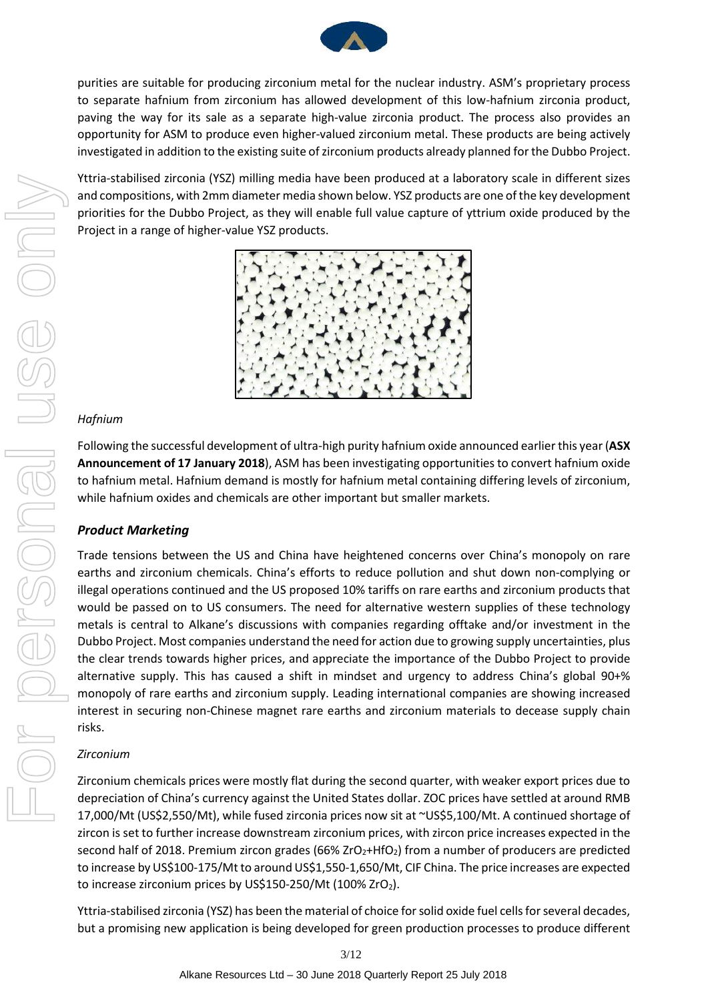

purities are suitable for producing zirconium metal for the nuclear industry. ASM's proprietary process to separate hafnium from zirconium has allowed development of this low-hafnium zirconia product, paving the way for its sale as a separate high-value zirconia product. The process also provides an opportunity for ASM to produce even higher-valued zirconium metal. These products are being actively investigated in addition to the existing suite of zirconium products already planned for the Dubbo Project.

Yttria-stabilised zirconia (YSZ) milling media have been produced at a laboratory scale in different sizes and compositions, with 2mm diameter media shown below. YSZ products are one of the key development priorities for the Dubbo Project, as they will enable full value capture of yttrium oxide produced by the Project in a range of higher-value YSZ products.



#### *Hafnium*

Following the successful development of ultra-high purity hafnium oxide announced earlier this year (**ASX Announcement of 17 January 2018**), ASM has been investigating opportunities to convert hafnium oxide to hafnium metal. Hafnium demand is mostly for hafnium metal containing differing levels of zirconium, while hafnium oxides and chemicals are other important but smaller markets.

## *Product Marketing*

Trade tensions between the US and China have heightened concerns over China's monopoly on rare earths and zirconium chemicals. China's efforts to reduce pollution and shut down non-complying or illegal operations continued and the US proposed 10% tariffs on rare earths and zirconium products that would be passed on to US consumers. The need for alternative western supplies of these technology metals is central to Alkane's discussions with companies regarding offtake and/or investment in the Dubbo Project. Most companies understand the need for action due to growing supply uncertainties, plus the clear trends towards higher prices, and appreciate the importance of the Dubbo Project to provide alternative supply. This has caused a shift in mindset and urgency to address China's global 90+% monopoly of rare earths and zirconium supply. Leading international companies are showing increased interest in securing non-Chinese magnet rare earths and zirconium materials to decease supply chain risks.

#### *Zirconium*

Zirconium chemicals prices were mostly flat during the second quarter, with weaker export prices due to depreciation of China's currency against the United States dollar. ZOC prices have settled at around RMB 17,000/Mt (US\$2,550/Mt), while fused zirconia prices now sit at ~US\$5,100/Mt. A continued shortage of zircon is set to further increase downstream zirconium prices, with zircon price increases expected in the second half of 2018. Premium zircon grades (66% ZrO<sub>2</sub>+HfO<sub>2</sub>) from a number of producers are predicted to increase by US\$100-175/Mt to around US\$1,550-1,650/Mt, CIF China. The price increases are expected to increase zirconium prices by US\$150-250/Mt (100% ZrO<sub>2</sub>).

Yttria-stabilised zirconia (YSZ) has been the material of choice for solid oxide fuel cells for several decades, but a promising new application is being developed for green production processes to produce different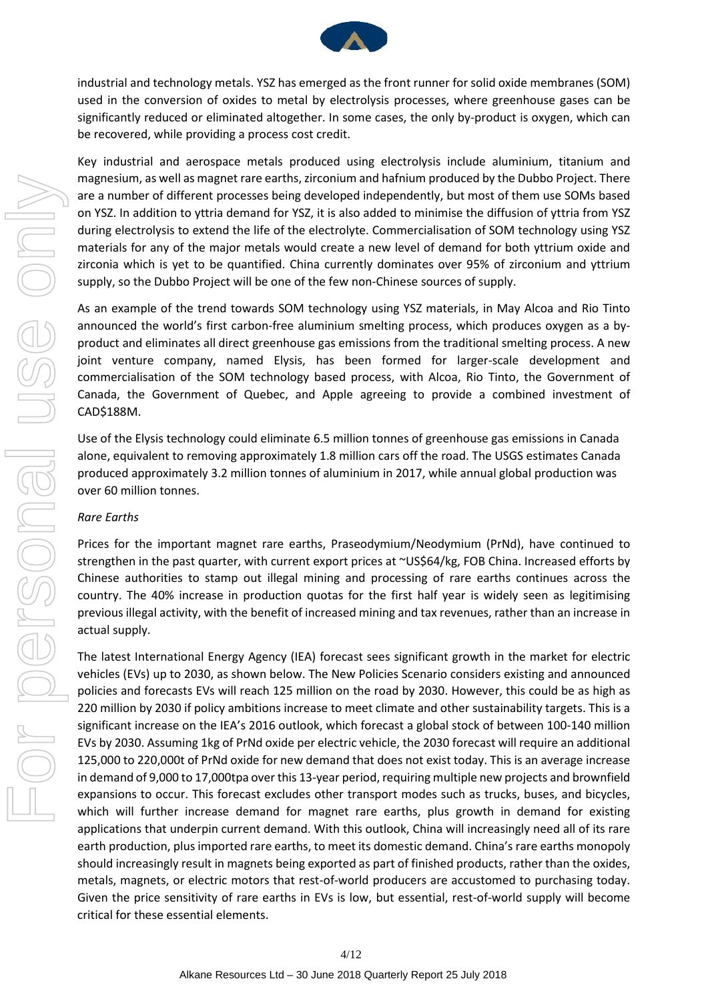

industrial and technology metals. YSZ has emerged as the front runner for solid oxide membranes (SOM) used in the conversion of oxides to metal by electrolysis processes, where greenhouse gases can be significantly reduced or eliminated altogether. In some cases, the only by-product is oxygen, which can be recovered, while providing a process cost credit.

Key industrial and aerospace metals produced using electrolysis include aluminium, titanium and magnesium, as well as magnet rare earths, zirconium and hafnium produced by the Dubbo Project. There are a number of different processes being developed independently, but most of them use SOMs based on YSZ. In addition to yttria demand for YSZ, it is also added to minimise the diffusion of yttria from YSZ during electrolysis to extend the life of the electrolyte. Commercialisation of SOM technology using YSZ materials for any of the major metals would create a new level of demand for both yttrium oxide and zirconia which is yet to be quantified. China currently dominates over 95% of zirconium and yttrium supply, so the Dubbo Project will be one of the few non-Chinese sources of supply.

As an example of the trend towards SOM technology using YSZ materials, in May Alcoa and Rio Tinto announced the world's first carbon-free aluminium smelting process, which produces oxygen as a byproduct and eliminates all direct greenhouse gas emissions from the traditional smelting process. A new joint venture company, named Elysis, has been formed for larger-scale development and commercialisation of the SOM technology based process, with Alcoa, Rio Tinto, the Government of Canada, the Government of Quebec, and Apple agreeing to provide a combined investment of CAD\$188M.

Use of the Elysis technology could eliminate 6.5 million tonnes of greenhouse gas emissions in Canada alone, equivalent to removing approximately 1.8 million cars off the road. The USGS estimates Canada produced approximately 3.2 million tonnes of aluminium in 2017, while annual global production was over 60 million tonnes.

#### *Rare Earths*

Prices for the important magnet rare earths, Praseodymium/Neodymium (PrNd), have continued to strengthen in the past quarter, with current export prices at ~US\$64/kg, FOB China. Increased efforts by Chinese authorities to stamp out illegal mining and processing of rare earths continues across the country. The 40% increase in production quotas for the first half year is widely seen as legitimising previous illegal activity, with the benefit of increased mining and tax revenues, rather than an increase in actual supply.

The latest International Energy Agency (IEA) forecast sees significant growth in the market for electric vehicles (EVs) up to 2030, as shown below. The New Policies Scenario considers existing and announced policies and forecasts EVs will reach 125 million on the road by 2030. However, this could be as high as 220 million by 2030 if policy ambitions increase to meet climate and other sustainability targets. This is a significant increase on the IEA's 2016 outlook, which forecast a global stock of between 100-140 million EVs by 2030. Assuming 1kg of PrNd oxide per electric vehicle, the 2030 forecast will require an additional 125,000 to 220,000t of PrNd oxide for new demand that does not exist today. This is an average increase in demand of 9,000 to 17,000tpa over this 13-year period, requiring multiple new projects and brownfield expansions to occur. This forecast excludes other transport modes such as trucks, buses, and bicycles, which will further increase demand for magnet rare earths, plus growth in demand for existing applications that underpin current demand. With this outlook, China will increasingly need all of its rare earth production, plus imported rare earths, to meet its domestic demand. China's rare earths monopoly should increasingly result in magnets being exported as part of finished products, rather than the oxides, metals, magnets, or electric motors that rest-of-world producers are accustomed to purchasing today. Given the price sensitivity of rare earths in EVs is low, but essential, rest-of-world supply will become critical for these essential elements.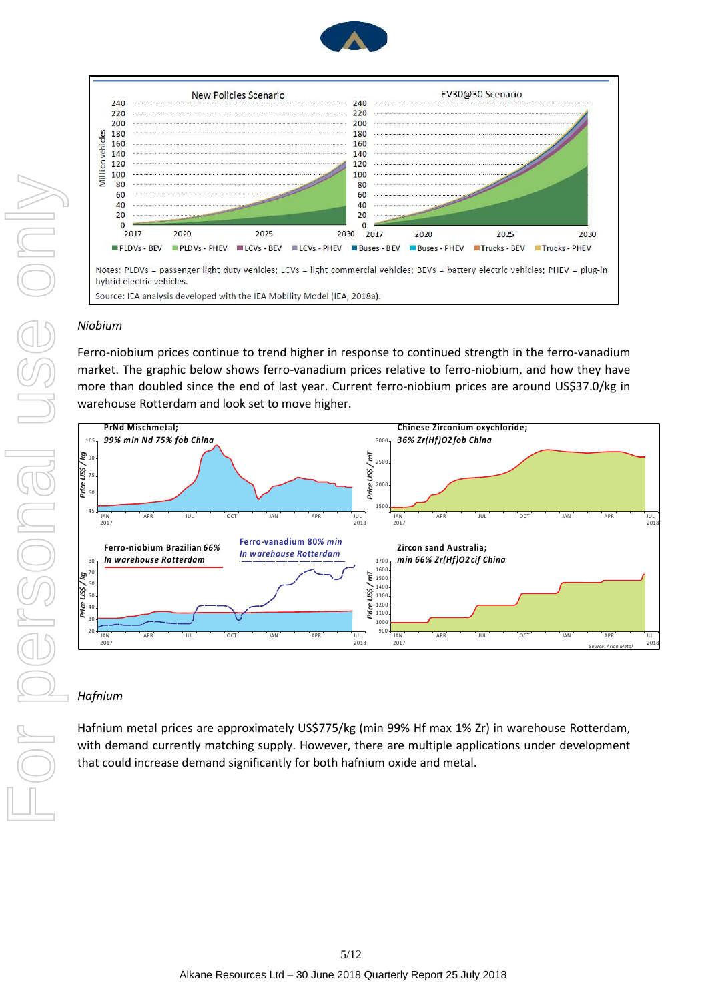



#### *Niobium*

Ferro-niobium prices continue to trend higher in response to continued strength in the ferro-vanadium market. The graphic below shows ferro-vanadium prices relative to ferro-niobium, and how they have more than doubled since the end of last year. Current ferro-niobium prices are around US\$37.0/kg in warehouse Rotterdam and look set to move higher.



#### *Hafnium*

Hafnium metal prices are approximately US\$775/kg (min 99% Hf max 1% Zr) in warehouse Rotterdam, with demand currently matching supply. However, there are multiple applications under development that could increase demand significantly for both hafnium oxide and metal.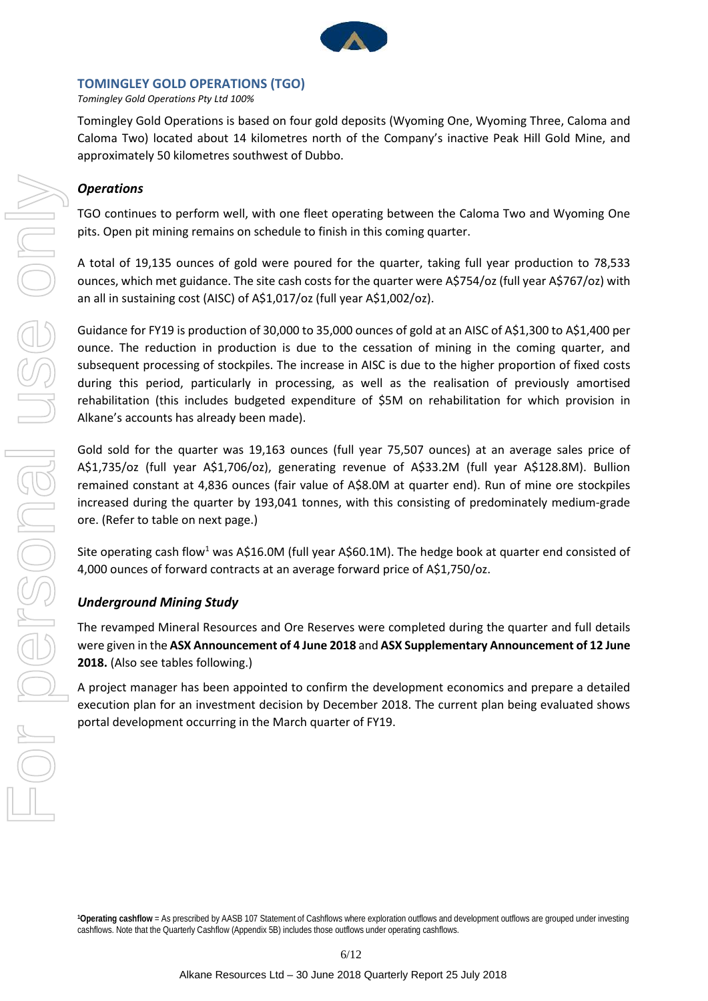

#### **TOMINGLEY GOLD OPERATIONS (TGO)**

*Tomingley Gold Operations Pty Ltd 100%* 

Tomingley Gold Operations is based on four gold deposits (Wyoming One, Wyoming Three, Caloma and Caloma Two) located about 14 kilometres north of the Company's inactive Peak Hill Gold Mine, and approximately 50 kilometres southwest of Dubbo.

## *Operations*

TGO continues to perform well, with one fleet operating between the Caloma Two and Wyoming One pits. Open pit mining remains on schedule to finish in this coming quarter.

A total of 19,135 ounces of gold were poured for the quarter, taking full year production to 78,533 ounces, which met guidance. The site cash costs for the quarter were A\$754/oz (full year A\$767/oz) with an all in sustaining cost (AISC) of A\$1,017/oz (full year A\$1,002/oz).

Guidance for FY19 is production of 30,000 to 35,000 ounces of gold at an AISC of A\$1,300 to A\$1,400 per ounce. The reduction in production is due to the cessation of mining in the coming quarter, and subsequent processing of stockpiles. The increase in AISC is due to the higher proportion of fixed costs during this period, particularly in processing, as well as the realisation of previously amortised rehabilitation (this includes budgeted expenditure of \$5M on rehabilitation for which provision in Alkane's accounts has already been made).

Gold sold for the quarter was 19,163 ounces (full year 75,507 ounces) at an average sales price of A\$1,735/oz (full year A\$1,706/oz), generating revenue of A\$33.2M (full year A\$128.8M). Bullion remained constant at 4,836 ounces (fair value of A\$8.0M at quarter end). Run of mine ore stockpiles increased during the quarter by 193,041 tonnes, with this consisting of predominately medium-grade ore. (Refer to table on next page.)

Site operating cash flow<sup>1</sup> was A\$16.0M (full year A\$60.1M). The hedge book at quarter end consisted of 4,000 ounces of forward contracts at an average forward price of A\$1,750/oz.

## *Underground Mining Study*

The revamped Mineral Resources and Ore Reserves were completed during the quarter and full details were given in the **ASX Announcement of 4 June 2018** and **ASX Supplementary Announcement of 12 June 2018.** (Also see tables following.)

A project manager has been appointed to confirm the development economics and prepare a detailed execution plan for an investment decision by December 2018. The current plan being evaluated shows portal development occurring in the March quarter of FY19.

**1Operating cashflow** = As prescribed by AASB 107 Statement of Cashflows where exploration outflows and development outflows are grouped under investing cashflows. Note that the Quarterly Cashflow (Appendix 5B) includes those outflows under operating cashflows.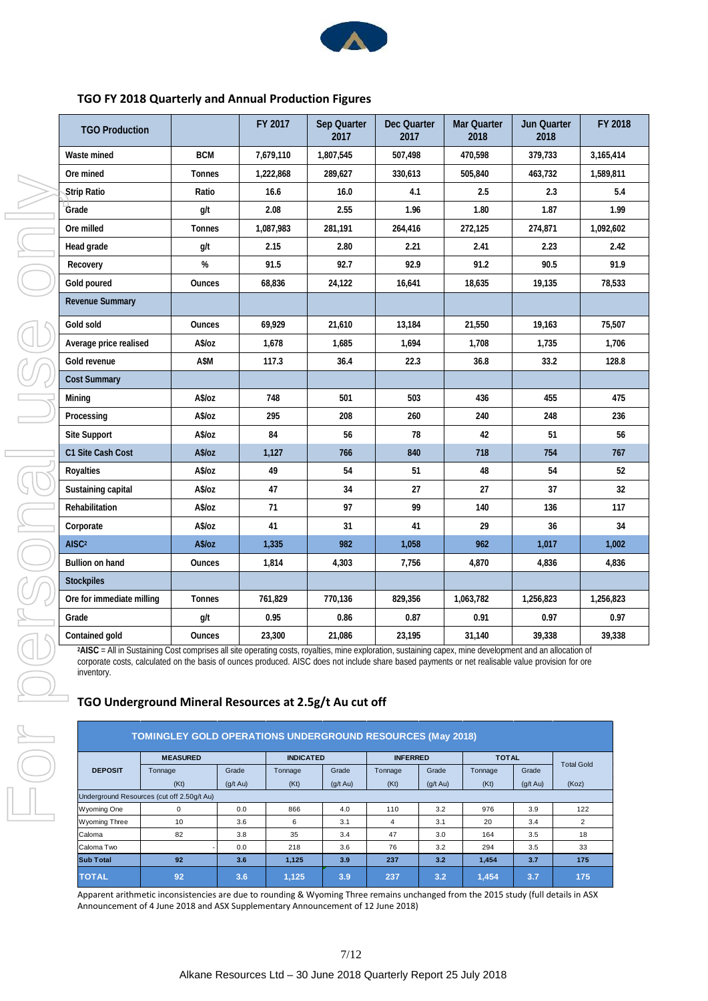

#### **TGO FY 2018 Quarterly and Annual Production Figures**

| <b>TGO Production</b>     |               | FY 2017   | Sep Quarter<br>2017 | Dec Quarter<br>2017 | Mar Quarter<br>2018 | <b>Jun Quarter</b><br>2018 | FY 2018   |
|---------------------------|---------------|-----------|---------------------|---------------------|---------------------|----------------------------|-----------|
| Waste mined               | <b>BCM</b>    | 7,679,110 | 1,807,545           | 507,498             | 470,598             | 379,733                    | 3,165,414 |
| Ore mined                 | <b>Tonnes</b> | 1,222,868 | 289,627             | 330,613             | 505,840             | 463,732                    | 1,589,811 |
| <b>Strip Ratio</b>        | Ratio         | 16.6      | 16.0                | 4.1                 | 2.5                 | 2.3                        | 5.4       |
| Grade                     | g/t           | 2.08      | 2.55                | 1.96                | 1.80                | 1.87                       | 1.99      |
| Ore milled                | <b>Tonnes</b> | 1,087,983 | 281,191             | 264,416             | 272,125             | 274,871                    | 1,092,602 |
| Head grade                | g/t           | 2.15      | 2.80                | 2.21                | 2.41                | 2.23                       | 2.42      |
| Recovery                  | %             | 91.5      | 92.7                | 92.9                | 91.2                | 90.5                       | 91.9      |
| Gold poured               | <b>Ounces</b> | 68,836    | 24,122              | 16,641              | 18,635              | 19,135                     | 78,533    |
| <b>Revenue Summary</b>    |               |           |                     |                     |                     |                            |           |
| Gold sold                 | <b>Ounces</b> | 69,929    | 21,610              | 13,184              | 21,550              | 19,163                     | 75,507    |
| Average price realised    | A\$/oz        | 1,678     | 1,685               | 1,694               | 1,708               | 1,735                      | 1,706     |
| Gold revenue              | A\$M          | 117.3     | 36.4                | 22.3                | 36.8                | 33.2                       | 128.8     |
| <b>Cost Summary</b>       |               |           |                     |                     |                     |                            |           |
| Mining                    | A\$/oz        | 748       | 501                 | 503                 | 436                 | 455                        | 475       |
| Processing                | A\$/oz        | 295       | 208                 | 260                 | 240                 | 248                        | 236       |
| <b>Site Support</b>       | A\$/oz        | 84        | 56                  | 78                  | 42                  | 51                         | 56        |
| C1 Site Cash Cost         | A\$/oz        | 1,127     | 766                 | 840                 | 718                 | 754                        | 767       |
| Royalties                 | A\$/oz        | 49        | 54                  | 51                  | 48                  | 54                         | 52        |
| Sustaining capital        | A\$/oz        | 47        | 34                  | 27                  | 27                  | 37                         | 32        |
| Rehabilitation            | A\$/oz        | 71        | 97                  | 99                  | 140                 | 136                        | 117       |
| Corporate                 | A\$/oz        | 41        | 31                  | 41                  | 29                  | 36                         | 34        |
| AISC <sup>2</sup>         | A\$/oz        | 1,335     | 982                 | 1,058               | 962                 | 1,017                      | 1,002     |
| Bullion on hand           | <b>Ounces</b> | 1,814     | 4,303               | 7,756               | 4,870               | 4,836                      | 4,836     |
| <b>Stockpiles</b>         |               |           |                     |                     |                     |                            |           |
| Ore for immediate milling | Tonnes        | 761,829   | 770,136             | 829,356             | 1,063,782           | 1,256,823                  | 1,256,823 |
| Grade                     | g/t           | 0.95      | 0.86                | 0.87                | 0.91                | 0.97                       | 0.97      |
| Contained gold            | <b>Ounces</b> | 23,300    | 21,086              | 23,195              | 31,140              | 39,338                     | 39,338    |

<sup>2</sup>AISC = All in Sustaining Cost comprises all site operating costs, royalties, mine exploration, sustaining capex, mine development and an allocation of corporate costs, calculated on the basis of ounces produced. AISC does not include share based payments or net realisable value provision for ore inventory.

## **TGO Underground Mineral Resources at 2.5g/t Au cut off**

| <b>TOMINGLEY GOLD OPERATIONS UNDERGROUND RESOURCES (May 2018)</b> |                 |               |                  |               |                 |               |              |                    |                   |
|-------------------------------------------------------------------|-----------------|---------------|------------------|---------------|-----------------|---------------|--------------|--------------------|-------------------|
|                                                                   | <b>MEASURED</b> |               | <b>INDICATED</b> |               | <b>INFERRED</b> |               | <b>TOTAL</b> |                    |                   |
| <b>DEPOSIT</b>                                                    | Tonnage         | Grade         | Tonnage          | Grade         | Tonnage         | Grade         | Tonnage      | Grade              | <b>Total Gold</b> |
|                                                                   | (Kt)            | $(q/t \, Au)$ | (Kt)             | $(q/t \, Au)$ | (Kt)            | $(g/t \, Au)$ | (Kt)         | $(g/t \text{ Au})$ | (Koz)             |
| Underground Resources (cut off 2.50g/t Au)                        |                 |               |                  |               |                 |               |              |                    |                   |
| <b>Wyoming One</b>                                                | 0               | 0.0           | 866              | 4.0           | 110             | 3.2           | 976          | 3.9                | 122               |
| <b>Wyoming Three</b>                                              | 10              | 3.6           | 6                | 3.1           | 4               | 3.1           | 20           | 3.4                | 2                 |
| Caloma                                                            | 82              | 3.8           | 35               | 3.4           | 47              | 3.0           | 164          | 3.5                | 18                |
| Caloma Two                                                        |                 | 0.0           | 218              | 3.6           | 76              | 3.2           | 294          | 3.5                | 33                |
| <b>Sub Total</b>                                                  | 92              | 3.6           | 1,125            | 3.9           | 237             | 3.2           | 1,454        | 3.7                | 175               |
| <b>TOTAL</b>                                                      | 92              | 3.6           | 1.125            | 3.9           | 237             | 3.2           | 1.454        | 3.7                | 175               |

Apparent arithmetic inconsistencies are due to rounding & Wyoming Three remains unchanged from the 2015 study (full details in ASX Announcement of 4 June 2018 and ASX Supplementary Announcement of 12 June 2018)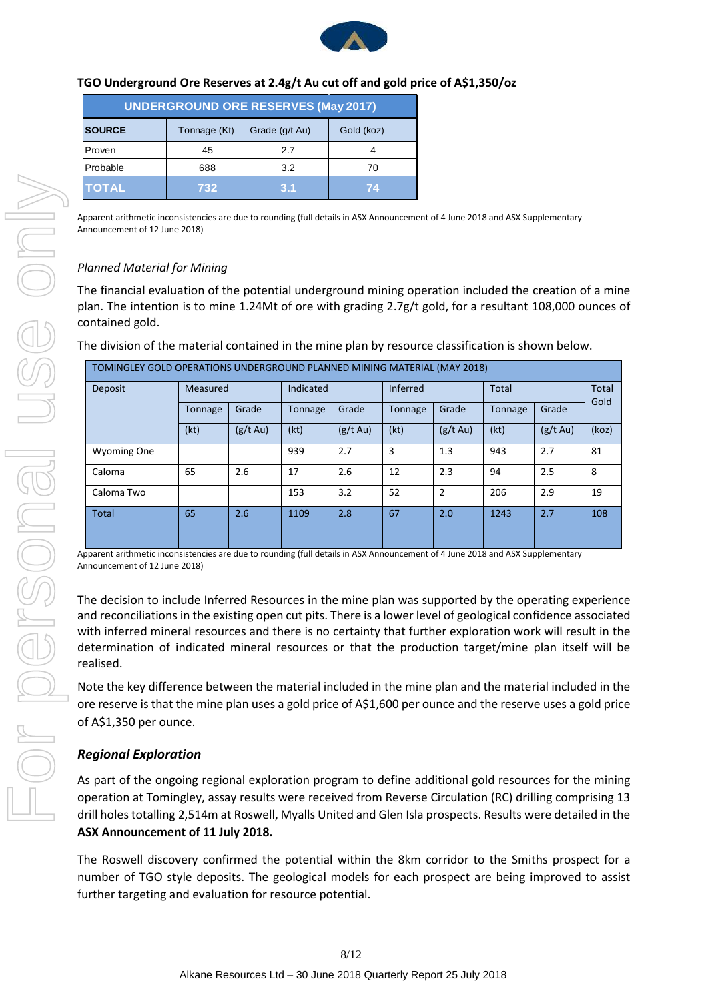

### **TGO Underground Ore Reserves at 2.4g/t Au cut off and gold price of A\$1,350/oz**

| <b>UNDERGROUND ORE RESERVES (May 2017)</b> |              |                |            |  |  |  |
|--------------------------------------------|--------------|----------------|------------|--|--|--|
| <b>SOURCE</b>                              | Tonnage (Kt) | Grade (g/t Au) | Gold (koz) |  |  |  |
| Proven                                     | 45           | 2.7            |            |  |  |  |
| Probable                                   | 688          | 3.2            | 70         |  |  |  |
| <b>TOTAL</b>                               | 732          | 3.1            | 74         |  |  |  |

Apparent arithmetic inconsistencies are due to rounding (full details in ASX Announcement of 4 June 2018 and ASX Supplementary Announcement of 12 June 2018)

## *Planned Material for Mining*

The financial evaluation of the potential underground mining operation included the creation of a mine plan. The intention is to mine 1.24Mt of ore with grading 2.7g/t gold, for a resultant 108,000 ounces of contained gold.

| TOMINGLEY GOLD OPERATIONS UNDERGROUND PLANNED MINING MATERIAL (MAY 2018) |          |               |                |                    |          |                    |              |               |                      |
|--------------------------------------------------------------------------|----------|---------------|----------------|--------------------|----------|--------------------|--------------|---------------|----------------------|
| Deposit                                                                  | Measured |               | Indicated      |                    | Inferred |                    | <b>Total</b> |               | <b>Total</b><br>Gold |
|                                                                          | Tonnage  | Grade         | <b>Tonnage</b> | Grade              | Tonnage  | Grade              | Tonnage      | Grade         |                      |
|                                                                          | (kt)     | $(g/t \, Au)$ | (kt)           | $(g/t \text{ Au})$ | (kt)     | $(g/t \text{ Au})$ | (kt)         | $(g/t \, Au)$ | (koz)                |
| <b>Wyoming One</b>                                                       |          |               | 939            | 2.7                | 3        | 1.3                | 943          | 2.7           | 81                   |
| Caloma                                                                   | 65       | 2.6           | 17             | 2.6                | 12       | 2.3                | 94           | 2.5           | 8                    |
| Caloma Two                                                               |          |               | 153            | 3.2                | 52       | $\overline{2}$     | 206          | 2.9           | 19                   |
| <b>Total</b>                                                             | 65       | 2.6           | 1109           | 2.8                | 67       | 2.0                | 1243         | 2.7           | 108                  |
|                                                                          |          |               |                |                    |          |                    |              |               |                      |

The division of the material contained in the mine plan by resource classification is shown below.

Apparent arithmetic inconsistencies are due to rounding (full details in ASX Announcement of 4 June 2018 and ASX Supplementary Announcement of 12 June 2018)

The decision to include Inferred Resources in the mine plan was supported by the operating experience and reconciliations in the existing open cut pits. There is a lower level of geological confidence associated with inferred mineral resources and there is no certainty that further exploration work will result in the determination of indicated mineral resources or that the production target/mine plan itself will be realised.

Note the key difference between the material included in the mine plan and the material included in the ore reserve is that the mine plan uses a gold price of A\$1,600 per ounce and the reserve uses a gold price of A\$1,350 per ounce.

## *Regional Exploration*

As part of the ongoing regional exploration program to define additional gold resources for the mining operation at Tomingley, assay results were received from Reverse Circulation (RC) drilling comprising 13 drill holes totalling 2,514m at Roswell, Myalls United and Glen Isla prospects. Results were detailed in the **ASX Announcement of 11 July 2018.**

The Roswell discovery confirmed the potential within the 8km corridor to the Smiths prospect for a number of TGO style deposits. The geological models for each prospect are being improved to assist further targeting and evaluation for resource potential.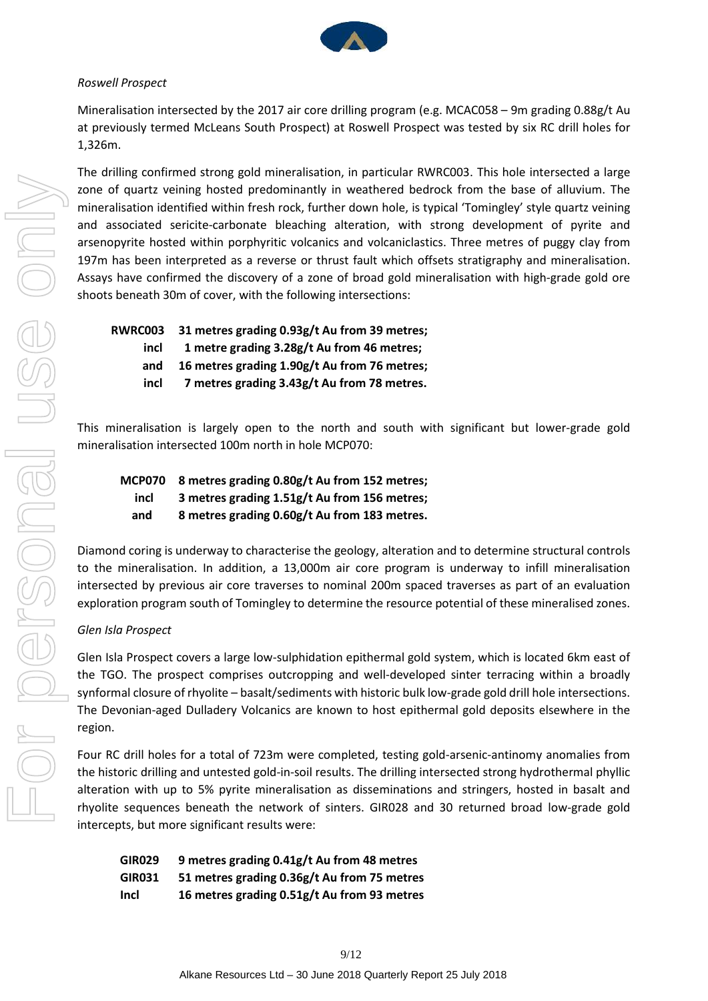

#### *Roswell Prospect*

Mineralisation intersected by the 2017 air core drilling program (e.g. MCAC058 – 9m grading 0.88g/t Au at previously termed McLeans South Prospect) at Roswell Prospect was tested by six RC drill holes for 1,326m.

The drilling confirmed strong gold mineralisation, in particular RWRC003. This hole intersected a large zone of quartz veining hosted predominantly in weathered bedrock from the base of alluvium. The mineralisation identified within fresh rock, further down hole, is typical 'Tomingley' style quartz veining and associated sericite-carbonate bleaching alteration, with strong development of pyrite and arsenopyrite hosted within porphyritic volcanics and volcaniclastics. Three metres of puggy clay from 197m has been interpreted as a reverse or thrust fault which offsets stratigraphy and mineralisation. Assays have confirmed the discovery of a zone of broad gold mineralisation with high-grade gold ore shoots beneath 30m of cover, with the following intersections:

| 31 metres grading 0.93g/t Au from 39 metres; |
|----------------------------------------------|
| 1 metre grading 3.28g/t Au from 46 metres;   |
| 16 metres grading 1.90g/t Au from 76 metres; |
| 7 metres grading 3.43g/t Au from 78 metres.  |
|                                              |

This mineralisation is largely open to the north and south with significant but lower-grade gold mineralisation intersected 100m north in hole MCP070:

|      | MCP070 8 metres grading 0.80g/t Au from 152 metres; |
|------|-----------------------------------------------------|
| incl | 3 metres grading 1.51g/t Au from 156 metres;        |
| and  | 8 metres grading 0.60g/t Au from 183 metres.        |

Diamond coring is underway to characterise the geology, alteration and to determine structural controls to the mineralisation. In addition, a 13,000m air core program is underway to infill mineralisation intersected by previous air core traverses to nominal 200m spaced traverses as part of an evaluation exploration program south of Tomingley to determine the resource potential of these mineralised zones.

## *Glen Isla Prospect*

Glen Isla Prospect covers a large low-sulphidation epithermal gold system, which is located 6km east of the TGO. The prospect comprises outcropping and well-developed sinter terracing within a broadly synformal closure of rhyolite – basalt/sediments with historic bulk low-grade gold drill hole intersections. The Devonian-aged Dulladery Volcanics are known to host epithermal gold deposits elsewhere in the region.

Four RC drill holes for a total of 723m were completed, testing gold-arsenic-antinomy anomalies from the historic drilling and untested gold-in-soil results. The drilling intersected strong hydrothermal phyllic alteration with up to 5% pyrite mineralisation as disseminations and stringers, hosted in basalt and rhyolite sequences beneath the network of sinters. GIR028 and 30 returned broad low-grade gold intercepts, but more significant results were:

| <b>GIR029</b> | 9 metres grading 0.41g/t Au from 48 metres  |
|---------------|---------------------------------------------|
| <b>GIR031</b> | 51 metres grading 0.36g/t Au from 75 metres |
| <b>Incl</b>   | 16 metres grading 0.51g/t Au from 93 metres |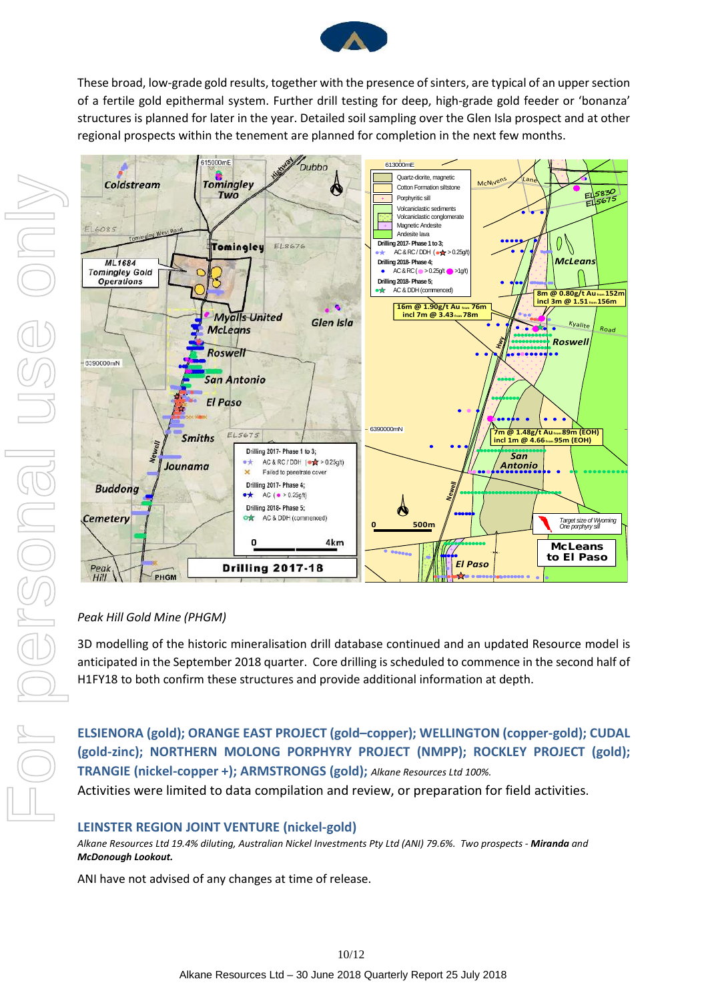

These broad, low-grade gold results, together with the presence of sinters, are typical of an upper section of a fertile gold epithermal system. Further drill testing for deep, high-grade gold feeder or 'bonanza' structures is planned for later in the year. Detailed soil sampling over the Glen Isla prospect and at other regional prospects within the tenement are planned for completion in the next few months.



## *Peak Hill Gold Mine (PHGM)*

3D modelling of the historic mineralisation drill database continued and an updated Resource model is anticipated in the September 2018 quarter. Core drilling is scheduled to commence in the second half of H1FY18 to both confirm these structures and provide additional information at depth.

**ELSIENORA (gold); ORANGE EAST PROJECT (gold–copper); WELLINGTON (copper-gold); CUDAL (gold-zinc); NORTHERN MOLONG PORPHYRY PROJECT (NMPP); ROCKLEY PROJECT (gold); TRANGIE (nickel-copper +); ARMSTRONGS (gold);** *Alkane Resources Ltd 100%.*

Activities were limited to data compilation and review, or preparation for field activities.

## **LEINSTER REGION JOINT VENTURE (nickel-gold)**

*Alkane Resources Ltd 19.4% diluting, Australian Nickel Investments Pty Ltd (ANI) 79.6%. Two prospects - Miranda and McDonough Lookout.* 

ANI have not advised of any changes at time of release.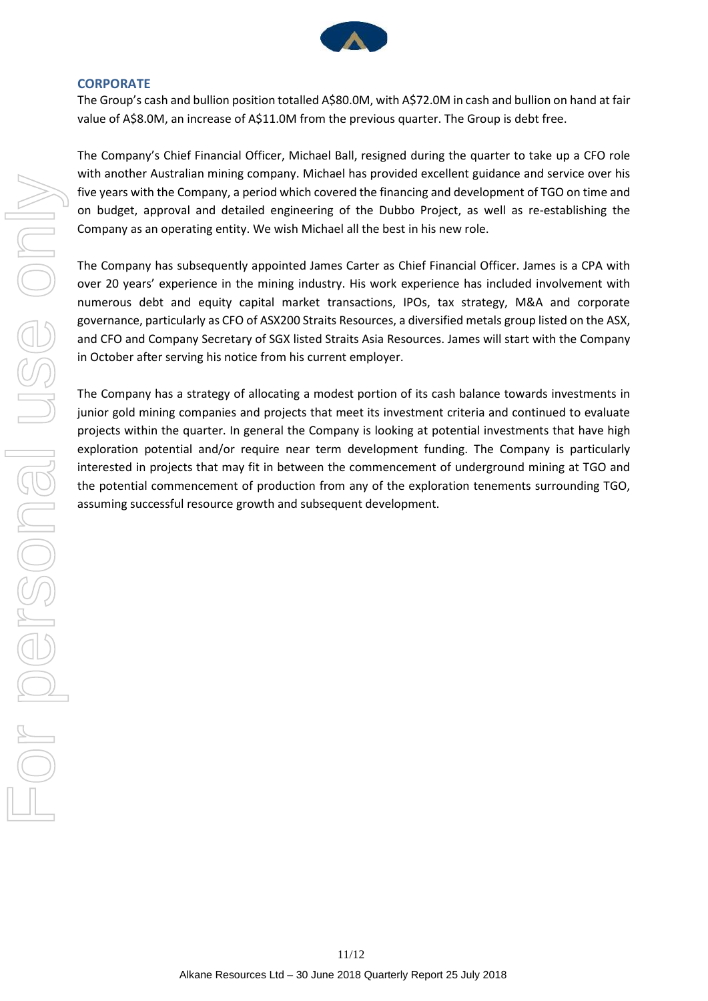

#### **CORPORATE**

The Group's cash and bullion position totalled A\$80.0M, with A\$72.0M in cash and bullion on hand at fair value of A\$8.0M, an increase of A\$11.0M from the previous quarter. The Group is debt free.

The Company's Chief Financial Officer, Michael Ball, resigned during the quarter to take up a CFO role with another Australian mining company. Michael has provided excellent guidance and service over his five years with the Company, a period which covered the financing and development of TGO on time and on budget, approval and detailed engineering of the Dubbo Project, as well as re-establishing the Company as an operating entity. We wish Michael all the best in his new role.

The Company has subsequently appointed James Carter as Chief Financial Officer. James is a CPA with over 20 years' experience in the mining industry. His work experience has included involvement with numerous debt and equity capital market transactions, IPOs, tax strategy, M&A and corporate governance, particularly as CFO of ASX200 Straits Resources, a diversified metals group listed on the ASX, and CFO and Company Secretary of SGX listed Straits Asia Resources. James will start with the Company in October after serving his notice from his current employer.

The Company has a strategy of allocating a modest portion of its cash balance towards investments in junior gold mining companies and projects that meet its investment criteria and continued to evaluate projects within the quarter. In general the Company is looking at potential investments that have high exploration potential and/or require near term development funding. The Company is particularly interested in projects that may fit in between the commencement of underground mining at TGO and the potential commencement of production from any of the exploration tenements surrounding TGO, assuming successful resource growth and subsequent development.